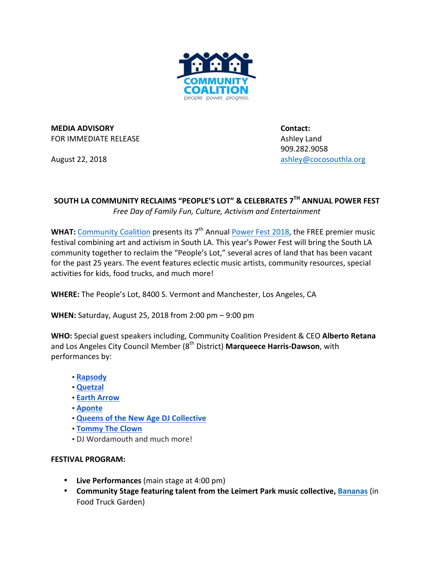

**MEDIA ADVISORY CONTACT: CONTACT: CONTACT: CONTACT: CONTACT:** FOR IMMEDIATE RELEASE **Ashley Land** 

909.282.9058 August 22, 2018 **August 22, 2018 ashley@cocosouthla.org** 

## SOUTH LA COMMUNITY RECLAIMS "PEOPLE'S LOT" & CELEBRATES 7<sup>TH</sup> ANNUAL POWER FEST

Free Day of Family Fun, Culture, Activism and Entertainment

**WHAT:** Community Coalition presents its 7<sup>th</sup> Annual Power Fest 2018, the FREE premier music festival combining art and activism in South LA. This year's Power Fest will bring the South LA community together to reclaim the "People's Lot," several acres of land that has been vacant for the past 25 years. The event features eclectic music artists, community resources, special activities for kids, food trucks, and much more!

WHERE: The People's Lot, 8400 S. Vermont and Manchester, Los Angeles, CA

**WHEN:** Saturday, August 25, 2018 from 2:00 pm – 9:00 pm

**WHO:** Special guest speakers including, Community Coalition President & CEO Alberto Retana and Los Angeles City Council Member (8<sup>th</sup> District) Marqueece Harris-Dawson, with performances by:

- **Rapsody**
- **Quetzal**
- **Earth Arrow**
- **Aponte**
- **Queens of the New Age DJ Collective**
- **Tommy The Clown**
- DJ Wordamouth and much more!

## **FESTIVAL PROGRAM:**

- Live Performances (main stage at 4:00 pm)
- Community Stage featuring talent from the Leimert Park music collective, Bananas (in Food Truck Garden)